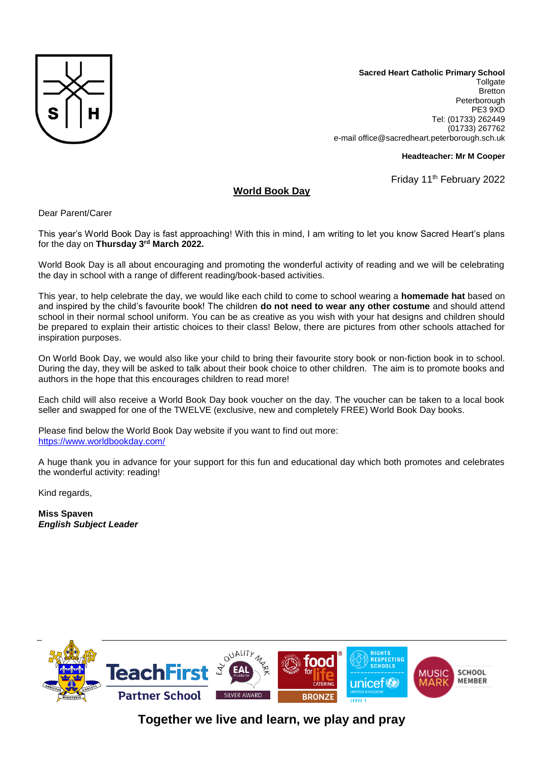

**Sacred Heart Catholic Primary School Tollgate Bretton** Peterborough PE3 9XD Tel: (01733) 262449 (01733) 267762 e-mail office@sacredheart.peterborough.sch.uk

## **Headteacher: Mr M Cooper**

Friday 11<sup>th</sup> February 2022

## **World Book Day**

Dear Parent/Carer

This year's World Book Day is fast approaching! With this in mind, I am writing to let you know Sacred Heart's plans for the day on **Thursday 3rd March 2022.**

World Book Day is all about encouraging and promoting the wonderful activity of reading and we will be celebrating the day in school with a range of different reading/book-based activities.

This year, to help celebrate the day, we would like each child to come to school wearing a **homemade hat** based on and inspired by the child's favourite book! The children **do not need to wear any other costume** and should attend school in their normal school uniform. You can be as creative as you wish with your hat designs and children should be prepared to explain their artistic choices to their class! Below, there are pictures from other schools attached for inspiration purposes.

On World Book Day, we would also like your child to bring their favourite story book or non-fiction book in to school. During the day, they will be asked to talk about their book choice to other children. The aim is to promote books and authors in the hope that this encourages children to read more!

Each child will also receive a World Book Day book voucher on the day. The voucher can be taken to a local book seller and swapped for one of the TWELVE (exclusive, new and completely FREE) World Book Day books.

Please find below the World Book Day website if you want to find out more: <https://www.worldbookday.com/>

A huge thank you in advance for your support for this fun and educational day which both promotes and celebrates the wonderful activity: reading!

Kind regards,

**Miss Spaven**  *English Subject Leader*



**Together we live and learn, we play and pray**